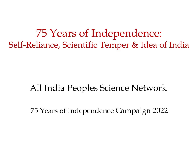75 Years of Independence: Self-Reliance, Scientific Temper & Idea of India

#### All India Peoples Science Network

75 Years of Independence Campaign 2022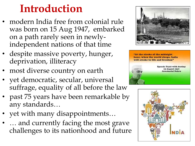# **Introduction**

- modern India free from colonial rule was born on 15 Aug 1947, embarked on a path rarely seen in newlyindependent nations of that time
- despite massive poverty, hunger, deprivation, illiteracy
- most diverse country on earth
- yet democratic, secular, universal suffrage, equality of all before the law
- past 75 years have been remarkable by any standards…
- yet with many disappointments…
- ... and currently facing the most grave challenges to its nationhood and future



"At the stroke of the midnight hour, when the world sleeps, India will awake to life and freedom"



**Speech: Tryst with destiny 15 August 1947 Jawaharlal Nehru** 

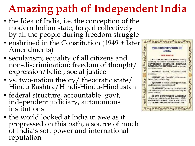# **Amazing path of Independent India**

- the Idea of India, i.e. the conception of the modern Indian state, forged collectively by all the people during freedom struggle
- enshrined in the Constitution (1949 + later) Amendments)
- secularism; equality of all citizens and non-discrimination; freedom of thought/ expression/belief; social justice
- vs. two-nation theory/ theocratic state/ Hindu Rashtra/Hindi-Hindu-Hindustan
- federal structure, accountable govt, independent judiciary, autonomous institutions
- the world looked at India in awe as it progressed on this path, a source of much of India's soft power and international reputation

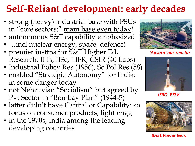## **Self-Reliant development: early decades**

- strong (heavy) industrial base with PSUs in "core sectors:" main base even today!
- autonomous S&T capability emphasized
- …incl nuclear energy, space, defence!
- premier insttns for  $S\&T$  Higher Ed, Research: IITs, IISc, TIFR, CSIR (40 Labs)
- Industrial Policy Res (1956), Sc Pol Res (58)
- enabled "Strategic Autonomy" for India: in some danger today
- not Nehruvian "Socialism" but agreed by Pvt Sector in "Bombay Plan" (1944-5)
- latter didn't have Capital or Capability: so focus on consumer products, light engg
- in the 1970s, India among the leading developing countries



*'Apsara' nuc reactor*



*ISRO PSLV*



*BHEL Power Gen.*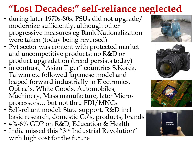## **"Lost Decades:" self-reliance neglected**

- during later 1970s-80s, PSUs did not upgrade/ modernize sufficiently, although other progressive measures eg Bank Nationalization were taken (today being reversed)
- Pvt sector was content with protected market and uncompetitive products: no R&D or product upgradation (trend persists today)
- in contrast, "Asian Tiger" countries S.Korea, Taiwan etc followed Japanese model and leaped forward industrially in Electronics, Opticals, White Goods, Automobiles, Machinery, Mass manufacture, later Microprocessors… but not thru FDI/MNCs
- Self-reliant model: State support, R&D incl basic research, domestic  $\overline{\text{Co}}'$ s, products, brands
- 4%-6% GDP on R&D, Education & Health
- India missed this "3<sup>rd</sup> Industrial Revolution" with high cost for the future







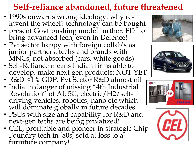## **Self-reliance abandoned, future threatened**

- 1990s onwards wrong ideology: why reinvent the wheel? technology can be bought
- present Govt pushing model further: FDI to bring advanced tech, even in Defence!
- Pvt sector happy with foreign collab's as junior partners: techs and brands with MNCs, not absorbed (cars, white goods)
- Self-Reliance means Indian firms able to develop, make next gen products: NOT YET
- R&D <1% GDP, Pvt Sector R&D almost nil
- India in danger of missing "4th Industrial Revolution" of AI, 5G, electric/H2/selfdriving vehicles, robotics, nano etc which will dominate globally in future decades
- PSUs with size and capability for R&D and next-gen techs are being privatized!
- CEL, profitable and pioneer in strategic Chip Foundry tech in '80s, sold at loss to a furniture company!







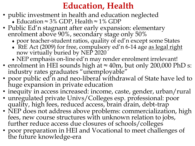#### **Education, Health**

- public investment in health and education neglected  $\bullet$  Education ≈ 3% GDP, Health ≈ 1% GDP
- Public Ed'n stagnant after early expansion: elementary enrolment above 90%, secondary stage only 50%
	- poor teacher-student ratios, quality of ed'n except some States
	- RtE Act (2009) for free, compulsory ed'n 6-14 age as legal right now virtually buried by NEP 2020
	- NEP emphasis on-line ed'n may render enrolment irrelevant!
- enrolment in HEI sounds high at ≈ 40m, but only 200,000 PhD s: industry rates graduates "unemployable"
- poor public ed'n and neo-liberal withdrawal of State have led to huge expansion in private education
- inequity in access increased: income, caste, gender, urban/rural
- unregulated private Univs/Colleges esp. professional: poor quality, high fees, reduced access, brain drain, debt-trap
- NEP does not address above problems: commercialization, high fees, new course structures with unknown relation to jobs, further reduce access due closures of schools/colleges
- poor preparation in HEI and Vocational to meet challenges of the future knowledge-era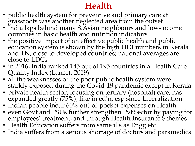## **Health**

- public health system for preventive and primary care at grassroots was another neglected area from the outset
- India lags behind many S.Asian neighbours and low-income countries in basic health and nutrition indicators
- the positive impact of an effective public health and public education system is shown by the high HDI numbers in Kerala and TN, close to developed countries; national averages are close to LDCs
- in 2016, India ranked 145 out of 195 countries in a Health Care Quality Index (Lancet, 2019)
- all the weaknesses of the poor public health system were starkly exposed during the Covid-19 pandemic except in Kerala
- private health sector, focusing on tertiary (hospital) care, has expanded greatly (75%), like in ed'n, esp since Liberalization
- Indian people incur 60% out-of-pocket expenses on Health
- even Govt and PSUs further strengthen Pvt Sector by paying for employees' treatment, and through Health Insurance Schemes
- Health Education suffers from same ills as Engg etc
- India suffers from a serious shortage of doctors and paramedics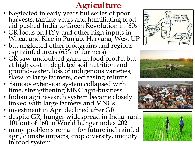## **Agriculture**

- Neglected in early years but series of poor harvests, famine-years and humiliating food aid pushed India to Green Revolution in '60s
- GR focus on HYV and other high inputs in Wheat and Rice in Punjab, Haryana, West UP
- but neglected other foodgrains and regions esp rainfed areas (65% of farmers)
- GR saw undoubted gains in food prod'n but at high cost in depleted soil nutrition and ground-water, loss of indigenous varieties, skew to large farmers, decreasing returns
- famous extension system collapsed with time, strengthening MNC agri-business
- Indian agri research system became closely linked with large farmers and MNCs
- investment in Agri declined after GR
- despite GR, hunger widespread in India: rank 101 out of 160 in World hunger index 2021
- many problems remain for future incl rainfed agri, climate impacts, crop diversity, iniquity in food system







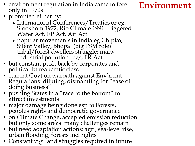- environment regulation in India came to fore **Environment** only in 1970s
- prompted either by:
	- International Conferences/Treaties or eg. Stockhom 1972, Rio Climate 1991: triggered Water Act, EP Act, Air Act
	- popular movements in India eg Chipko, Silent Valley, Bhopal (big PSM role) tribal/forest dwellers struggle: many Industrial pollution regs, FR Act
- but constant push-back by corporates and political-bureaucratic class
- current Govt on warpath against Env'ment Regulations: diluting, dismantling for "ease of doing business"
- pushing States in a "race to the bottom" to attract investments
- major damage being done esp to Forests, peoples rights and democratic governance
- on Climate Change, accepted emission reduction but only some areas: many challenges remain
- but need adaptation actions: agri, sea-level rise, urban flooding, forests incl rights
- Constant vigil and struggles required in future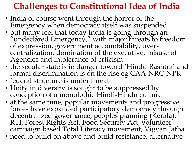## **Challenges to Constitutional Idea of India**

- India of course went through the horror of the Emergency when democracy itself was suspended
- but many feel that today India is going through an "undeclared Emergency," with major threats to freedom of expression, government accountability, overcentralization, domination of the executive, misuse of Agencies and intolerance of crticism
- the secular state is in danger toward 'Hindu Rashtra' and formal discrimination is on the rise eg CAA-NRC-NPR
- federal structure is under threat
- Unity in diversity is sought to be suppressed by conception of a monolothic Hindi-Hindu culture
- at the same time, popular movements and progressive forces have expanded participatory democracy through decentralized governance, peoples planning (Kerala), RTI, Forest Rights Act, Food Security Act, volunteercampaign based Total Literacy movement, Vigyan Jatha
- need to build on above and build resistance, alternative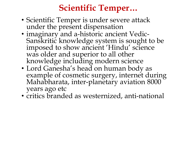## **Scientific Temper…**

- Scientific Temper is under severe attack under the present dispensation
- imaginary and a-historic ancient Vedic-Sanskritic knowledge system is sought to be imposed to show ancient 'Hindu' science was older and superior to all other knowledge including modern science
- Lord Ganesha's head on human body as example of cosmetic surgery, internet during Mahabharata, inter-planetary aviation 8000 years ago etc
- critics branded as westernized, anti-national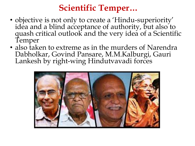#### **Scientific Temper…**

- objective is not only to create a 'Hindu-superiority' idéa and a blind acceptance of authority, but also to quash critical outlook and the very idea of a Scientific Temper
- also taken to extreme as in the murders of Narendra Dabholkar, Govind Pansare, M.M.Kalburgi, Gauri Lankesh by right-wing Hindutvavadi forces

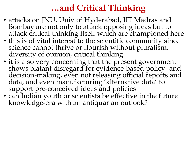#### **…and Critical Thinking**

- attacks on JNU, Univ of Hyderabad, IIT Madras and Bombay are not only to attack opposing ideas but to attack critical thinking itself which are championed here
- this is of vital interest to the scientific community since science cannot thrive or flourish without pluralism, diversity of opinion, critical thinking
- it is also very concerning that the present government shows blatant disregard for evidence-based policy- and decision-making, even not releasing official reports and data, and even manufacturing 'alternative data' to support pre-conceived ideas and policies
- can Indian youth or scientists be effective in the future knowledge-era with an antiquarian outlook?